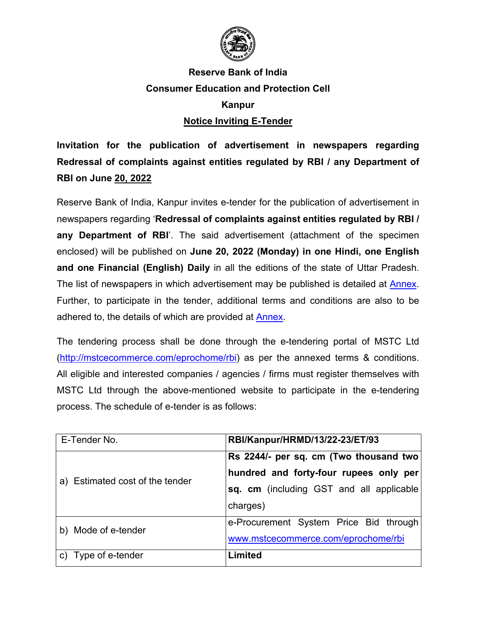

# **Reserve Bank of India Consumer Education and Protection Cell Kanpur**

## **Notice Inviting E-Tender**

**Invitation for the publication of advertisement in newspapers regarding Redressal of complaints against entities regulated by RBI / any Department of RBI on June 20, 2022**

Reserve Bank of India, Kanpur invites e-tender for the publication of advertisement in newspapers regarding '**Redressal of complaints against entities regulated by RBI / any Department of RBI**'. The said advertisement (attachment of the specimen enclosed) will be published on **June 20, 2022 (Monday) in one Hindi, one English and one Financial (English) Daily** in all the editions of the state of Uttar Pradesh. The list of newspapers in which advertisement may be published is detailed at [Annex.](#page-4-0) Further, to participate in the tender, additional terms and conditions are also to be adhered to, the details of which are provided at [Annex.](#page-4-0)

The tendering process shall be done through the e-tendering portal of MSTC Ltd [\(http://mstcecommerce.com/eprochome/rbi\)](https://www.mstcecommerce.com/eprochome/rbi) as per the annexed terms & conditions. All eligible and interested companies / agencies / firms must register themselves with MSTC Ltd through the above-mentioned website to participate in the e-tendering process. The schedule of e-tender is as follows:

| E-Tender No.                    | RBI/Kanpur/HRMD/13/22-23/ET/93            |
|---------------------------------|-------------------------------------------|
|                                 | Rs 2244/- per sq. cm (Two thousand two)   |
| a) Estimated cost of the tender | hundred and forty-four rupees only per    |
|                                 | sq. cm (including GST and all applicable) |
|                                 | charges)                                  |
| Mode of e-tender<br>b)          | e-Procurement System Price Bid through    |
|                                 | www.mstcecommerce.com/eprochome/rbi       |
| Type of e-tender<br>C)          | Limited                                   |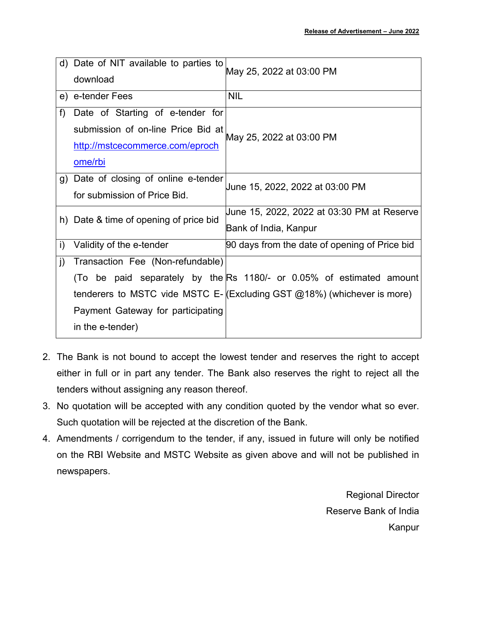|    | d) Date of NIT available to parties to<br>download | May 25, 2022 at 03:00 PM                                                        |  |
|----|----------------------------------------------------|---------------------------------------------------------------------------------|--|
|    | e) e-tender Fees                                   | <b>NIL</b>                                                                      |  |
| f) | Date of Starting of e-tender for                   |                                                                                 |  |
|    | submission of on-line Price Bid at                 | May 25, 2022 at 03:00 PM                                                        |  |
|    | http://mstcecommerce.com/eproch                    |                                                                                 |  |
|    | ome/rbi                                            |                                                                                 |  |
|    | g) Date of closing of online e-tender              |                                                                                 |  |
|    | for submission of Price Bid.                       | June 15, 2022, 2022 at 03:00 PM                                                 |  |
|    | h) Date & time of opening of price bid             | June 15, 2022, 2022 at 03:30 PM at Reserve                                      |  |
|    |                                                    | Bank of India, Kanpur                                                           |  |
| i) | Validity of the e-tender                           | 90 days from the date of opening of Price bid                                   |  |
| j) | Transaction Fee (Non-refundable)                   |                                                                                 |  |
|    |                                                    | (To be paid separately by the Rs 1180/- or 0.05% of estimated amount            |  |
|    |                                                    | tenderers to MSTC vide MSTC E- $ $ (Excluding GST $@18\%$ ) (whichever is more) |  |
|    | Payment Gateway for participating                  |                                                                                 |  |
|    | in the e-tender)                                   |                                                                                 |  |

- 2. The Bank is not bound to accept the lowest tender and reserves the right to accept either in full or in part any tender. The Bank also reserves the right to reject all the tenders without assigning any reason thereof.
- 3. No quotation will be accepted with any condition quoted by the vendor what so ever. Such quotation will be rejected at the discretion of the Bank.
- 4. Amendments / corrigendum to the tender, if any, issued in future will only be notified on the RBI Website and MSTC Website as given above and will not be published in newspapers.

Regional Director Reserve Bank of India Kanpur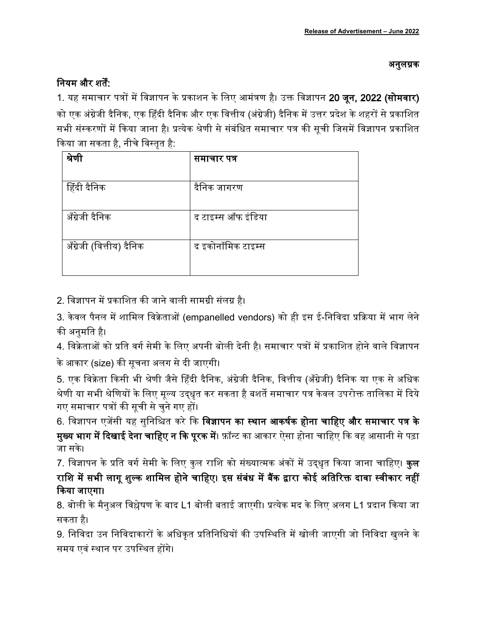### अनुलग्नक

## नियम और शर्तें:

1. यह समाचार पत्रों में विज्ञापन के प्रकाशन के लिए आमंत्रण है। उक्त विज्ञापन 20 जून, 2022 (सोमवार) को एक अंग्रेजी दैनिक, एक हिंदी दैनिक और एक वित्तीय (अंग्रेजी) दैनिक में उत्तर प्रदेश के शहरों से प्रकाशित सभी संस्करणों में किया जाना है। प्रत्येक श्रेणी से संबंधित समाचार पत्र की सूची जिसमें विज्ञापन प्रकाशित किया जा सकता है, नीचे विस्तृत है:

| श्रेणी                   | समाचार पत्र        |
|--------------------------|--------------------|
| हिंदी दैनिक              | दैनिक जागरण        |
| अँग्रेजी दैनिक           | द टाइम्स ऑफ इंडिया |
| अँग्रेजी (वित्तीय) दैनिक | द इकोनॉमिक टाइम्स  |
|                          |                    |

2. विज्ञापन में प्रकाशित की जाने वाली सामग्री संलग्न है।

3. केवल पैनल में शामिल विक्रेताओं (empanelled vendors) को ही इस ई-निविदा प्रक्रिया में भाग लेने की अनुमति है।

4. विक्रेताओं को प्रति वर्ग सेमी के लिए अपनी बोली देनी है। समाचार पत्रों में प्रकाशित होने वाले विज्ञापन के आकार (size) की सूचना अलग से दी जाएगी।

5. एक विक्रेता किसी भी श्रेणी जैसे हिंदी दैनिक, अंग्रेजी दैनिक, वित्तीय (अँग्रेजी) दैनिक या एक से अधिक श्रेणी या सभी श्रेणियों के लिए मूल्य उद्धृत कर सकता है बशर्ते समाचार पत्र केवल उपरोक्त तालिका में दिये गए समाचार पत्रों की सूची से चुने गए हों।

6. विज्ञापन एजेंसी यह सुनिश्चित करे कि **विज्ञापन का स्थान आकर्षक होना चाहिए और समाचार पत्र के मुख्य भाग में दिखाई देना चाहिए न कि पूरक में**। फ़ॉन्ट का आकार ऐसा होना चाहिए कि वह आसानी से पढ़ा जा सके।

7. विज्ञापन के प्रति वर्ग सेमी के लिए कुल राशि को संख्यात्मक अंकों में उद्धृत किया जाना चाहिए। **कुल** राशि में सभी लागू शुल्क शामिल होने चाहिए। इस संबंध में बैंक द्वारा कोई अतिरिक्त दावा स्वीकार नहीं किया जाएगा।

8. बोली के मैनुअल विश्लेषण के बाद L1 बोली बताई जाएगी। प्रत्येक मद के लिए अलग L1 प्रदान किया जा सकता है।

9. निविदा उन निविदाकारों के अधिकत प्रतिनिधियों की उपस्थिति में खोली जाएगी जो निविदा खुलने के समय एवं स्थान पर उपस्थित होंगे।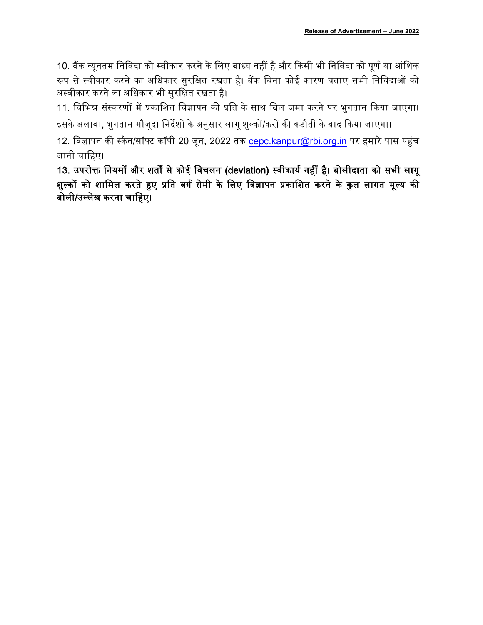10. बैंक न्युनतम निविदा को स्वीकार करने के लिए बाध्य नहीं है और किसी भी निविदा को पुर्ण या आंशिक रूप से स्वीकार करने का अधिकार सुरक्षित रखता है। बैंक बिना कोई कारण बताए सभी निविदाओं को अस्वीकार करने का अधिकार भी सुरक्षित रखता है।

11. विभिन्न संस्करणों में प्रकाशित विज्ञापन की प्रति के साथ बिल जमा करने पर भुगतान किया जाएगा। इसके अलावा, भुगतान मौजूदा निर्देशों के अनुसार लागू शुल्कों/करों की कटौती के बाद किया जाएगा।

12. विज्ञापन की स्कैन/सॉफ्ट कॉपी 20 जून, 2022 तक cepc.kanpur@rbi.org.in पर हमारे पास पहुंच जानी चाहिए।

13. उपरोक्त नियमों और शर्तों से कोई विचलन (deviation) स्वीकार्य नहीं है। बोलीदाता को सभी लागू <u>शुल्कों को शामिल करते हुए प्रति वर्ग सेमी के लिए विज्ञापन प्रकाशित करने के कुल लागत मूल्य की</u> बोली/उल्लेख करना चाहिए।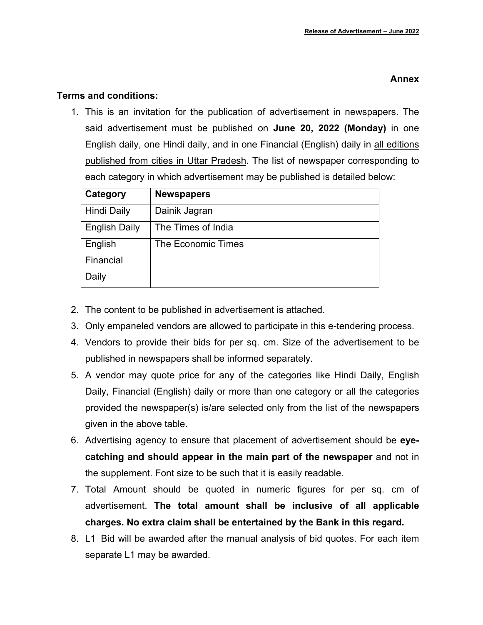#### **Annex**

#### <span id="page-4-0"></span>**Terms and conditions:**

1. This is an invitation for the publication of advertisement in newspapers. The said advertisement must be published on **June 20, 2022 (Monday)** in one English daily, one Hindi daily, and in one Financial (English) daily in all editions published from cities in Uttar Pradesh. The list of newspaper corresponding to each category in which advertisement may be published is detailed below:

| Category             | <b>Newspapers</b>  |
|----------------------|--------------------|
| <b>Hindi Daily</b>   | Dainik Jagran      |
| <b>English Daily</b> | The Times of India |
| English              | The Economic Times |
| Financial            |                    |
| Daily                |                    |

- 2. The content to be published in advertisement is attached.
- 3. Only empaneled vendors are allowed to participate in this e-tendering process.
- 4. Vendors to provide their bids for per sq. cm. Size of the advertisement to be published in newspapers shall be informed separately.
- 5. A vendor may quote price for any of the categories like Hindi Daily, English Daily, Financial (English) daily or more than one category or all the categories provided the newspaper(s) is/are selected only from the list of the newspapers given in the above table.
- 6. Advertising agency to ensure that placement of advertisement should be **eyecatching and should appear in the main part of the newspaper** and not in the supplement. Font size to be such that it is easily readable.
- 7. Total Amount should be quoted in numeric figures for per sq. cm of advertisement. **The total amount shall be inclusive of all applicable charges. No extra claim shall be entertained by the Bank in this regard.**
- 8. L1 Bid will be awarded after the manual analysis of bid quotes. For each item separate L1 may be awarded.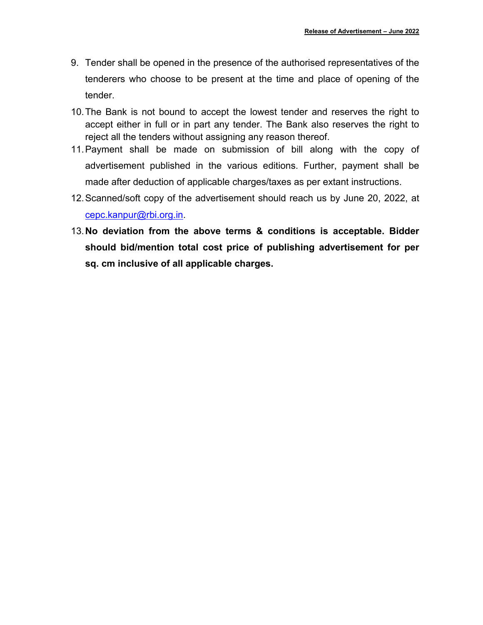- 9. Tender shall be opened in the presence of the authorised representatives of the tenderers who choose to be present at the time and place of opening of the tender.
- 10.The Bank is not bound to accept the lowest tender and reserves the right to accept either in full or in part any tender. The Bank also reserves the right to reject all the tenders without assigning any reason thereof.
- 11.Payment shall be made on submission of bill along with the copy of advertisement published in the various editions. Further, payment shall be made after deduction of applicable charges/taxes as per extant instructions.
- 12.Scanned/soft copy of the advertisement should reach us by June 20, 2022, at [cepc.kanpur@rbi.org.in.](mailto:cepc.kanpur@rbi.org.in)
- 13.**No deviation from the above terms & conditions is acceptable. Bidder should bid/mention total cost price of publishing advertisement for per sq. cm inclusive of all applicable charges.**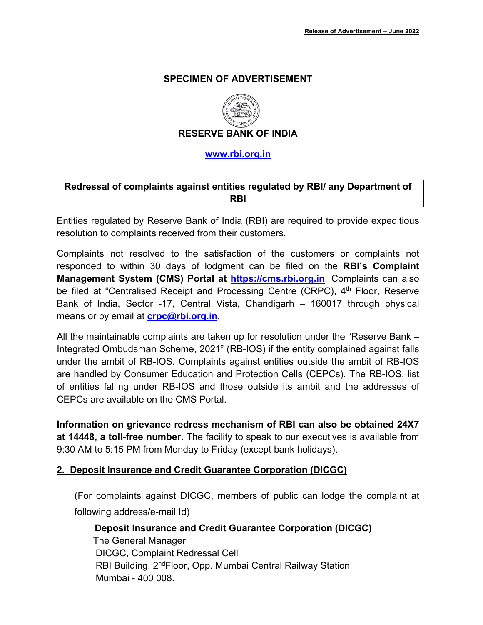#### **SPECIMEN OF ADVERTISEMENT**



**RESERVE BANK OF INDIA**

**[www.rbi.org.in](https://www.rbi.org.in/)**

### **Redressal of complaints against entities regulated by RBI/ any Department of RBI**

Entities regulated by Reserve Bank of India (RBI) are required to provide expeditious resolution to complaints received from their customers.

Complaints not resolved to the satisfaction of the customers or complaints not responded to within 30 days of lodgment can be filed on the **RBI's Complaint Management System (CMS) Portal at [https://cms.rbi.org.in](https://cms.rbi.org.in/)**. Complaints can also be filed at "Centralised Receipt and Processing Centre (CRPC), 4<sup>th</sup> Floor, Reserve Bank of India, Sector -17, Central Vista, Chandigarh – 160017 through physical means or by email at **[crpc@rbi.org.in.](mailto:crpc@rbi.org.in)**

All the maintainable complaints are taken up for resolution under the "Reserve Bank – Integrated Ombudsman Scheme, 2021" (RB-IOS) if the entity complained against falls under the ambit of RB-IOS. Complaints against entities outside the ambit of RB-IOS are handled by Consumer Education and Protection Cells (CEPCs). The RB-IOS, list of entities falling under RB-IOS and those outside its ambit and the addresses of CEPCs are available on the CMS Portal.

**Information on grievance redress mechanism of RBI can also be obtained 24X7 at 14448, a toll-free number.** The facility to speak to our executives is available from 9:30 AM to 5:15 PM from Monday to Friday (except bank holidays).

#### **2. Deposit Insurance and Credit Guarantee Corporation (DICGC)**

(For complaints against DICGC, members of public can lodge the complaint at following address/e-mail Id)

 **Deposit Insurance and Credit Guarantee Corporation (DICGC)**  The General Manager DICGC, Complaint Redressal Cell RBI Building, 2<sup>nd</sup>Floor, Opp. Mumbai Central Railway Station Mumbai - 400 008.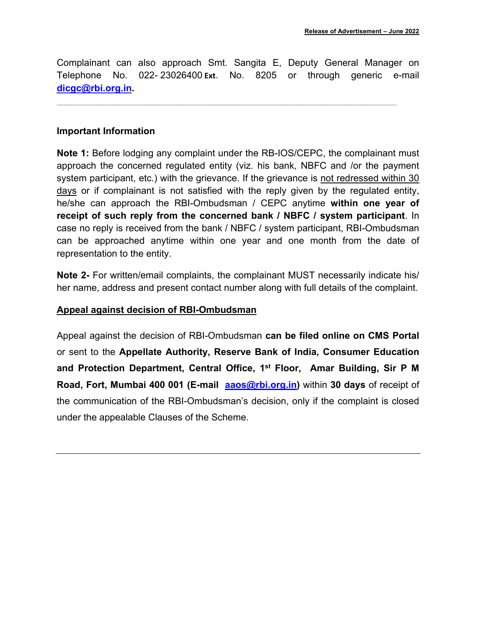Complainant can also approach Smt. Sangita E, Deputy General Manager on Telephone No. 022- 23026400 **Ext**. No. 8205 or through generic e-mail **[dicgc@rbi.org.in.](mailto:dicgc@rbi.org.in)**

------------------------------------------------------------------------------------------------------------------------------------------------------------------------------------------------------------------------------------------------------------------------------------------------------------------------------------

#### **Important Information**

**Note 1:** Before lodging any complaint under the RB-IOS/CEPC, the complainant must approach the concerned regulated entity (viz. his bank, NBFC and /or the payment system participant, etc.) with the grievance. If the grievance is not redressed within 30 days or if complainant is not satisfied with the reply given by the regulated entity, he/she can approach the RBI-Ombudsman / CEPC anytime **within one year of receipt of such reply from the concerned bank / NBFC / system participant**. In case no reply is received from the bank / NBFC / system participant, RBI-Ombudsman can be approached anytime within one year and one month from the date of representation to the entity.

**Note 2-** For written/email complaints, the complainant MUST necessarily indicate his/ her name, address and present contact number along with full details of the complaint.

#### **Appeal against decision of RBI-Ombudsman**

Appeal against the decision of RBI-Ombudsman **can be filed online on CMS Portal**  or sent to the **Appellate Authority, Reserve Bank of India, Consumer Education and Protection Department, Central Office, 1st Floor, Amar Building, Sir P M Road, Fort, Mumbai 400 001 (E-mail [aaos@rbi.org.in\)](mailto:aaos@rbi.org.in)** within **30 days** of receipt of the communication of the RBI-Ombudsman's decision, only if the complaint is closed under the appealable Clauses of the Scheme.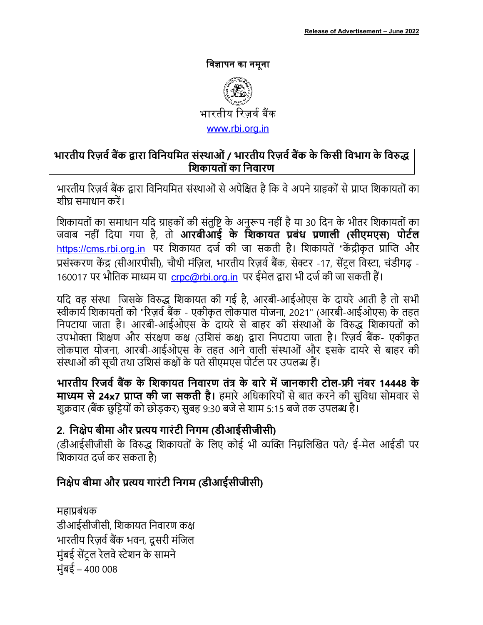### विज्ञापन का नमूना



## भारतीय रिज़र्व बैंक द्वारा विनियमित संस्थाओं / भारतीय रिज़र्व बैंक के किसी विभाग के विरुद्ध शिकायतों का निवारण

भारतीय रिज़र्व बैंक द्वारा विनियमित संस्थाओं से अपेक्षित है कि वे अपने ग्राहकों से प्राप्त शिकायतों का शीघ समाधान करें।

शिकायतों का समाधान यदि ग्राहकों की संतृष्टि के अनरूप नहीं है या 30 दिन के भीतर शिकायतों का जवाब नहीं दिया गया है, तो **आरबीआई के शिकायत प्रबंध प्रणाली (सीएमएस) पोर्टल** https://cms.rbi.org.in पर शिकायत दर्ज की जा सकती है। शिकायतें "केंद्रीकृत प्राप्ति और प्रसंस्करण केंद्र (सीआरपीसी), चौथी मंज़िल, भारतीय रिज़र्व बैंक, सेक्टर -17, सेंट्रल विस्टा, चंडीगढ़ -160017 पर भौतिक माध्यम या crpc@rbi.org.in पर ईमेल द्वारा भी दर्ज की जा सकती हैं।

यदि वह संस्था जिसके विरुद्ध शिकायत की गई है, आरबी-आईओएस के दायरे आती है तो सभी स्वीकार्य शिकायतों को "रिज़र्व बैंक - एकीकृत लोकपाल योजना, 2021" (आरबी-आईओएस) के तहत निपटाया जाता है। आरबी-आईओएस के दायरे से बाहर की संस्थाओं के विरुद्ध शिकायतों को उपभोक्ता शिक्षण और संरक्षण कक्ष (उशिसं कक्ष) द्वारा निपटाया जाता है। रिज़र्व बैंक- एकीकृत लोकपाल योजना, आरबी-आईओएस के तहत आने वाली संस्थाओं और इसके दायरे से बाहर की संस्थाओं की सूची तथा उशिसं कक्षों के पते सीएमएस पोर्टल पर उपलब्ध हैं।

भारतीय रिजर्व बैंक के शिकायत निवारण तंत्र के बारे में जानकारी टोल-फ्री नंबर 14448 के **माध्यम से 24x7 प्राप्त की जा सकती है।** हमारे अधिकारियों से बात करने की सुविधा सोमवार से शक्रवार (बैंक छुट्टियों को छोड़कर) सबह 9:30 बजे से शाम 5:15 बजे तक उपलब्ध है।

# 2. निक्षेप बीमा और प्रत्यय गारंटी निगम (डीआईसीजीसी)

(डीआईसीजीसी के विरुद्ध शिकायतों के लिए कोई भी व्यक्ति निम्नलिखित पते/ ई-मेल आईडी पर शिकायत दर्ज कर सकता है)

# निक्षेप बीमा और प्रत्यय गारंटी निगम (डीआईसीजीसी)

महाप्रबंधक डीआईसीजीसी, शिकायत निवारण कक्ष भारतीय रिज़र्व बैंक भवन, दूसरी मंजिल मुंबई सेंट्ल रेलवे स्टेशन के सामने मंबई – 400 008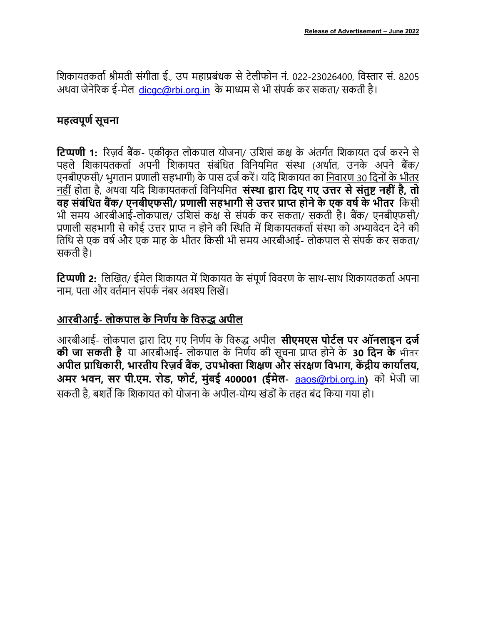शिकायतकर्ता श्रीमती संगीता ई., उप महाप्रबंधक से टेलीफोन नं. 022-23026400, विस्तार सं. 8205 अथवा जेनेरिक ई-मेल, dicac@rbi.org.in के माध्यम से भी संपर्क कर सकता/ सकती है।

## महत्वपूर्ण सूचना

**टिप्पणी 1:** रिज़र्व बैंक- एकीकृत लोकपाल योजना/ उशिसं कक्ष के अंतर्गत शिकायत दर्ज करने से पहले शिकायतकर्ता अपनी शिकायत संबंधित विनियमित संस्था (अर्थात, उनके अपने बैंक/ एनबीएफसी/ भुगतान प्रणाली सहभागी) के पास दर्ज करें। यदि शिकायत का निवारण 30 दिनों के भीतर नहीं होता है, अथवा यदि शिकायतकर्ता विनियमित **संस्था द्वारा दिए गए उत्तर से संतुष्ट नहीं है, तो** वह संबंधित बैंक/ एनबीएफसी/ प्रणाली सहभागी से उत्तर प्राप्त होने के एक वर्ष के भीतर किसी भी समय आरबीआई-लोकपाल/ उशिसं कक्ष से संपर्क कर सकता/ सकती है। बैंक/ एनबीएफसी/ प्रणाली सहभागी से कोई उत्तर प्राप्त न होने की स्थिति में शिकायतकर्ता संस्था को अभ्यावेदन देने की तिथि से एक वर्ष और एक माह के भीतर किसी भी समय आरबीआई- लोकपाल से संपर्क कर सकता/ सकती है।

**टिप्पणी 2:** लिखित/ ईमेल शिकायत में शिकायत के संपर्ण विवरण के साथ-साथ शिकायतकर्ता अपना नाम, पता और वर्तमान संपर्क नंबर अवश्य लिखें।

# आरबीआई- लोकपाल के निर्णय के विरुद्ध अपील

आरबीआई- लोकपाल द्वारा दिए गए निर्णय के विरुद्ध अपील **सीएमएस पोर्टल पर ऑनलाइन दर्ज की जा सकती है** या आरबीआई- लोकपाल के निर्णय की सूचना प्राप्त होने के 30 दिन के भीतर अपील प्राधिकारी. भारतीय रिज़र्व बैंक. उपभोक्ता शिक्षण और संरक्षण विभाग. केंद्रीय कार्यालय. अमर भवन, सर पी.एम. रोड, फोर्ट, मुंबई 400001 (ईमेल- aaos@rbi.org.in) को भेजी जा सकती है. बशर्ते कि शिकायत को योजना के अपील-योग्य खंडों के तहत बंद किया गया हो।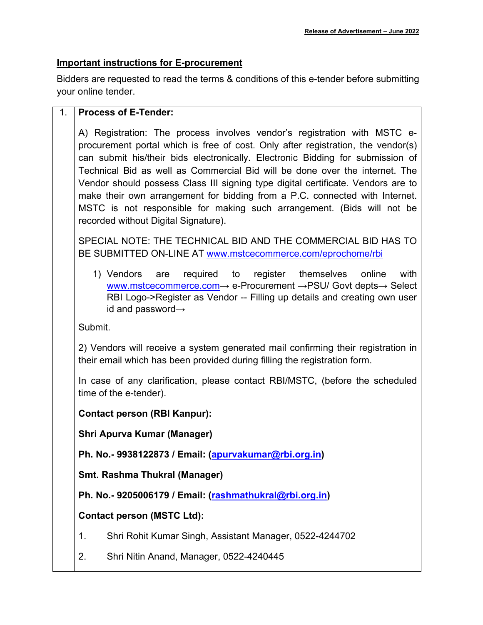#### **Important instructions for E-procurement**

Bidders are requested to read the terms & conditions of this e-tender before submitting your online tender.

#### 1. **Process of E-Tender:**

A) Registration: The process involves vendor's registration with MSTC eprocurement portal which is free of cost. Only after registration, the vendor(s) can submit his/their bids electronically. Electronic Bidding for submission of Technical Bid as well as Commercial Bid will be done over the internet. The Vendor should possess Class III signing type digital certificate. Vendors are to make their own arrangement for bidding from a P.C. connected with Internet. MSTC is not responsible for making such arrangement. (Bids will not be recorded without Digital Signature).

SPECIAL NOTE: THE TECHNICAL BID AND THE COMMERCIAL BID HAS TO BE SUBMITTED ON-LINE AT [www.mstcecommerce.com/eprochome/rbi](https://www.mstcecommerce.com/eprochome/rbi)

1) Vendors are required to register themselves online with [www.mstcecommerce.com](https://www.mstcecommerce.com/)→ e-Procurement →PSU/ Govt depts→ Select RBI Logo->Register as Vendor -- Filling up details and creating own user id and password→

Submit.

2) Vendors will receive a system generated mail confirming their registration in their email which has been provided during filling the registration form.

In case of any clarification, please contact RBI/MSTC, (before the scheduled time of the e-tender).

**Contact person (RBI Kanpur):**

**Shri Apurva Kumar (Manager)**

**Ph. No.- 9938122873 / Email: [\(apurvakumar@rbi.org.in\)](mailto:apurvakumar@rbi.org.in)**

**Smt. Rashma Thukral (Manager)**

**Ph. No.- 9205006179 / Email: [\(rashmathukral@rbi.org.in\)](mailto:rashmathukral@rbi.org.in)**

**Contact person (MSTC Ltd):**

- 1. Shri Rohit Kumar Singh, Assistant Manager, 0522-4244702
- 2. Shri Nitin Anand, Manager, 0522-4240445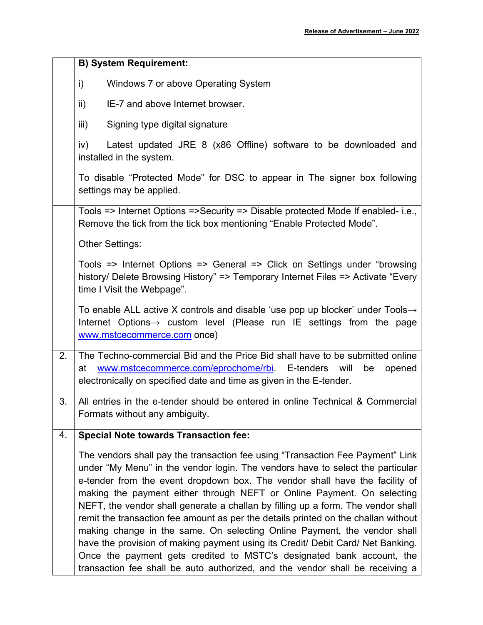|    | <b>B) System Requirement:</b>                                                                                                                                                                                                                                                                                                                                                                                                                                                                                                                                                                                                                                                                                                                                                                                                |  |  |
|----|------------------------------------------------------------------------------------------------------------------------------------------------------------------------------------------------------------------------------------------------------------------------------------------------------------------------------------------------------------------------------------------------------------------------------------------------------------------------------------------------------------------------------------------------------------------------------------------------------------------------------------------------------------------------------------------------------------------------------------------------------------------------------------------------------------------------------|--|--|
|    | $\mathsf{i}$<br>Windows 7 or above Operating System                                                                                                                                                                                                                                                                                                                                                                                                                                                                                                                                                                                                                                                                                                                                                                          |  |  |
|    | IE-7 and above Internet browser.<br>$\mathsf{ii}$                                                                                                                                                                                                                                                                                                                                                                                                                                                                                                                                                                                                                                                                                                                                                                            |  |  |
|    | iii)<br>Signing type digital signature                                                                                                                                                                                                                                                                                                                                                                                                                                                                                                                                                                                                                                                                                                                                                                                       |  |  |
|    | Latest updated JRE 8 (x86 Offline) software to be downloaded and<br>iv)<br>installed in the system.                                                                                                                                                                                                                                                                                                                                                                                                                                                                                                                                                                                                                                                                                                                          |  |  |
|    | To disable "Protected Mode" for DSC to appear in The signer box following<br>settings may be applied.                                                                                                                                                                                                                                                                                                                                                                                                                                                                                                                                                                                                                                                                                                                        |  |  |
|    | Tools => Internet Options =>Security => Disable protected Mode If enabled- i.e.,<br>Remove the tick from the tick box mentioning "Enable Protected Mode".                                                                                                                                                                                                                                                                                                                                                                                                                                                                                                                                                                                                                                                                    |  |  |
|    | <b>Other Settings:</b>                                                                                                                                                                                                                                                                                                                                                                                                                                                                                                                                                                                                                                                                                                                                                                                                       |  |  |
|    | Tools => Internet Options => General => Click on Settings under "browsing<br>history/ Delete Browsing History" => Temporary Internet Files => Activate "Every<br>time I Visit the Webpage".                                                                                                                                                                                                                                                                                                                                                                                                                                                                                                                                                                                                                                  |  |  |
|    | To enable ALL active X controls and disable 'use pop up blocker' under Tools $\rightarrow$<br>Internet Options $\rightarrow$ custom level (Please run IE settings from the page<br>www.mstcecommerce.com once)                                                                                                                                                                                                                                                                                                                                                                                                                                                                                                                                                                                                               |  |  |
| 2. | The Techno-commercial Bid and the Price Bid shall have to be submitted online<br>www.mstcecommerce.com/eprochome/rbi E-tenders will<br>be<br>at<br>opened<br>electronically on specified date and time as given in the E-tender.                                                                                                                                                                                                                                                                                                                                                                                                                                                                                                                                                                                             |  |  |
| 3. | All entries in the e-tender should be entered in online Technical & Commercial<br>Formats without any ambiguity.                                                                                                                                                                                                                                                                                                                                                                                                                                                                                                                                                                                                                                                                                                             |  |  |
| 4. | <b>Special Note towards Transaction fee:</b>                                                                                                                                                                                                                                                                                                                                                                                                                                                                                                                                                                                                                                                                                                                                                                                 |  |  |
|    | The vendors shall pay the transaction fee using "Transaction Fee Payment" Link<br>under "My Menu" in the vendor login. The vendors have to select the particular<br>e-tender from the event dropdown box. The vendor shall have the facility of<br>making the payment either through NEFT or Online Payment. On selecting<br>NEFT, the vendor shall generate a challan by filling up a form. The vendor shall<br>remit the transaction fee amount as per the details printed on the challan without<br>making change in the same. On selecting Online Payment, the vendor shall<br>have the provision of making payment using its Credit/ Debit Card/ Net Banking.<br>Once the payment gets credited to MSTC's designated bank account, the<br>transaction fee shall be auto authorized, and the vendor shall be receiving a |  |  |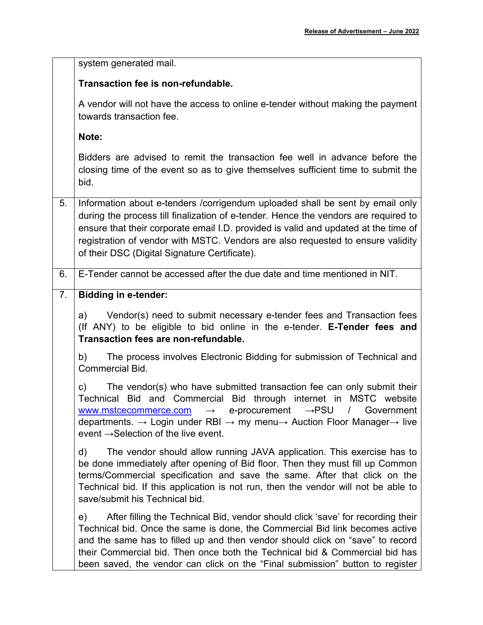|    | system generated mail.                                                                                                                                                                                                                                                                                                                                                                                                  |
|----|-------------------------------------------------------------------------------------------------------------------------------------------------------------------------------------------------------------------------------------------------------------------------------------------------------------------------------------------------------------------------------------------------------------------------|
|    | Transaction fee is non-refundable.                                                                                                                                                                                                                                                                                                                                                                                      |
|    | A vendor will not have the access to online e-tender without making the payment<br>towards transaction fee.                                                                                                                                                                                                                                                                                                             |
|    | Note:                                                                                                                                                                                                                                                                                                                                                                                                                   |
|    | Bidders are advised to remit the transaction fee well in advance before the<br>closing time of the event so as to give themselves sufficient time to submit the<br>bid.                                                                                                                                                                                                                                                 |
| 5. | Information about e-tenders /corrigendum uploaded shall be sent by email only<br>during the process till finalization of e-tender. Hence the vendors are required to<br>ensure that their corporate email I.D. provided is valid and updated at the time of<br>registration of vendor with MSTC. Vendors are also requested to ensure validity<br>of their DSC (Digital Signature Certificate).                         |
| 6. | E-Tender cannot be accessed after the due date and time mentioned in NIT.                                                                                                                                                                                                                                                                                                                                               |
| 7. | <b>Bidding in e-tender:</b>                                                                                                                                                                                                                                                                                                                                                                                             |
|    | Vendor(s) need to submit necessary e-tender fees and Transaction fees<br>a)<br>(If ANY) to be eligible to bid online in the e-tender. E-Tender fees and<br>Transaction fees are non-refundable.                                                                                                                                                                                                                         |
|    | The process involves Electronic Bidding for submission of Technical and<br>b)<br>Commercial Bid.                                                                                                                                                                                                                                                                                                                        |
|    | The vendor(s) who have submitted transaction fee can only submit their<br>c)<br>Technical Bid and Commercial Bid through internet in MSTC website<br>www.mstcecommerce.com → e-procurement →PSU / Government<br>departments. $\rightarrow$ Login under RBI $\rightarrow$ my menu $\rightarrow$ Auction Floor Manager $\rightarrow$ live<br>event $\rightarrow$ Selection of the live event.                             |
|    | The vendor should allow running JAVA application. This exercise has to<br>d)<br>be done immediately after opening of Bid floor. Then they must fill up Common<br>terms/Commercial specification and save the same. After that click on the<br>Technical bid. If this application is not run, then the vendor will not be able to<br>save/submit his Technical bid.                                                      |
|    | After filling the Technical Bid, vendor should click 'save' for recording their<br>e)<br>Technical bid. Once the same is done, the Commercial Bid link becomes active<br>and the same has to filled up and then vendor should click on "save" to record<br>their Commercial bid. Then once both the Technical bid & Commercial bid has<br>been saved, the vendor can click on the "Final submission" button to register |